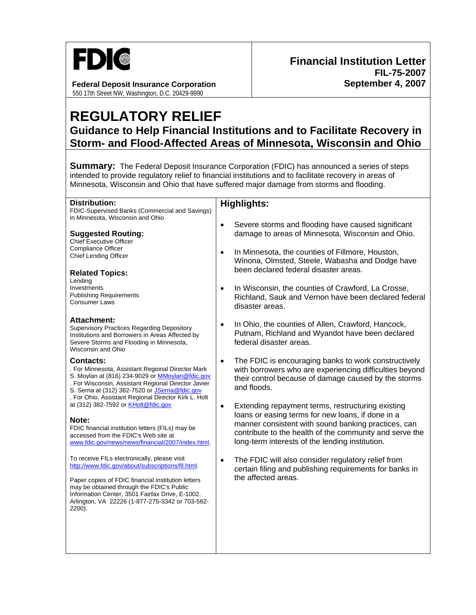

## **Federal Deposit Insurance Corporation**  550 17th Street NW, Washington, D.C. 20429-9990

## **REGULATORY RELIEF Guidance to Help Financial Institutions and to Facilitate Recovery in Storm- and Flood-Affected Areas of Minnesota, Wisconsin and Ohio**

**Summary:** The Federal Deposit Insurance Corporation (FDIC) has announced a series of steps intended to provide regulatory relief to financial institutions and to facilitate recovery in areas of Minnesota, Wisconsin and Ohio that have suffered major damage from storms and flooding.

| Distribution:                                                                                                                                                                                                                                                                            | <b>Highlights:</b>                                                                                                                                                                                                     |
|------------------------------------------------------------------------------------------------------------------------------------------------------------------------------------------------------------------------------------------------------------------------------------------|------------------------------------------------------------------------------------------------------------------------------------------------------------------------------------------------------------------------|
| FDIC-Supervised Banks (Commercial and Savings)                                                                                                                                                                                                                                           |                                                                                                                                                                                                                        |
| in Minnesota, Wisconsin and Ohio                                                                                                                                                                                                                                                         |                                                                                                                                                                                                                        |
| <b>Suggested Routing:</b><br><b>Chief Executive Officer</b>                                                                                                                                                                                                                              | Severe storms and flooding have caused significant<br>$\bullet$<br>damage to areas of Minnesota, Wisconsin and Ohio.                                                                                                   |
| <b>Compliance Officer</b><br>Chief Lending Officer                                                                                                                                                                                                                                       | In Minnesota, the counties of Fillmore, Houston,<br>$\bullet$<br>Winona, Olmsted, Steele, Wabasha and Dodge have                                                                                                       |
| <b>Related Topics:</b><br>Lending                                                                                                                                                                                                                                                        | been declared federal disaster areas.                                                                                                                                                                                  |
| Investments                                                                                                                                                                                                                                                                              | In Wisconsin, the counties of Crawford, La Crosse,<br>$\bullet$                                                                                                                                                        |
| <b>Publishing Requirements</b><br><b>Consumer Laws</b>                                                                                                                                                                                                                                   | Richland, Sauk and Vernon have been declared federal<br>disaster areas.                                                                                                                                                |
| Attachment:<br><b>Supervisory Practices Regarding Depository</b><br>Institutions and Borrowers in Areas Affected by<br>Severe Storms and Flooding in Minnesota,<br>Wisconsin and Ohio                                                                                                    | In Ohio, the counties of Allen, Crawford, Hancock,<br>$\bullet$<br>Putnam, Richland and Wyandot have been declared<br>federal disaster areas.                                                                          |
| <b>Contacts:</b><br>. For Minnesota, Assistant Regional Director Mark<br>S. Moylan at (816) 234-9029 or MMoylan@fdic.gov<br>. For Wisconsin, Assistant Regional Director Javier<br>S. Serna at (312) 382-7520 or JSerna@fdic.gov<br>. For Ohio, Assistant Regional Director Kirk L. Holt | The FDIC is encouraging banks to work constructively<br>$\bullet$<br>with borrowers who are experiencing difficulties beyond<br>their control because of damage caused by the storms<br>and floods.                    |
| at (312) 382-7592 or KHolt@fdic.gov                                                                                                                                                                                                                                                      | Extending repayment terms, restructuring existing<br>$\bullet$                                                                                                                                                         |
| Note:<br>FDIC financial institution letters (FILs) may be<br>accessed from the FDIC's Web site at<br>www.fdic.gov/news/news/financial/2007/index.html.                                                                                                                                   | loans or easing terms for new loans, if done in a<br>manner consistent with sound banking practices, can<br>contribute to the health of the community and serve the<br>long-term interests of the lending institution. |
| To receive FILs electronically, please visit<br>http://www.fdic.gov/about/subscriptions/fil.html.                                                                                                                                                                                        | The FDIC will also consider regulatory relief from<br>$\bullet$<br>certain filing and publishing requirements for banks in                                                                                             |
| Paper copies of FDIC financial institution letters<br>may be obtained through the FDIC's Public<br>Information Center, 3501 Fairfax Drive, E-1002,<br>Arlington, VA 22226 (1-877-275-3342 or 703-562-<br>2200).                                                                          | the affected areas.                                                                                                                                                                                                    |
|                                                                                                                                                                                                                                                                                          |                                                                                                                                                                                                                        |